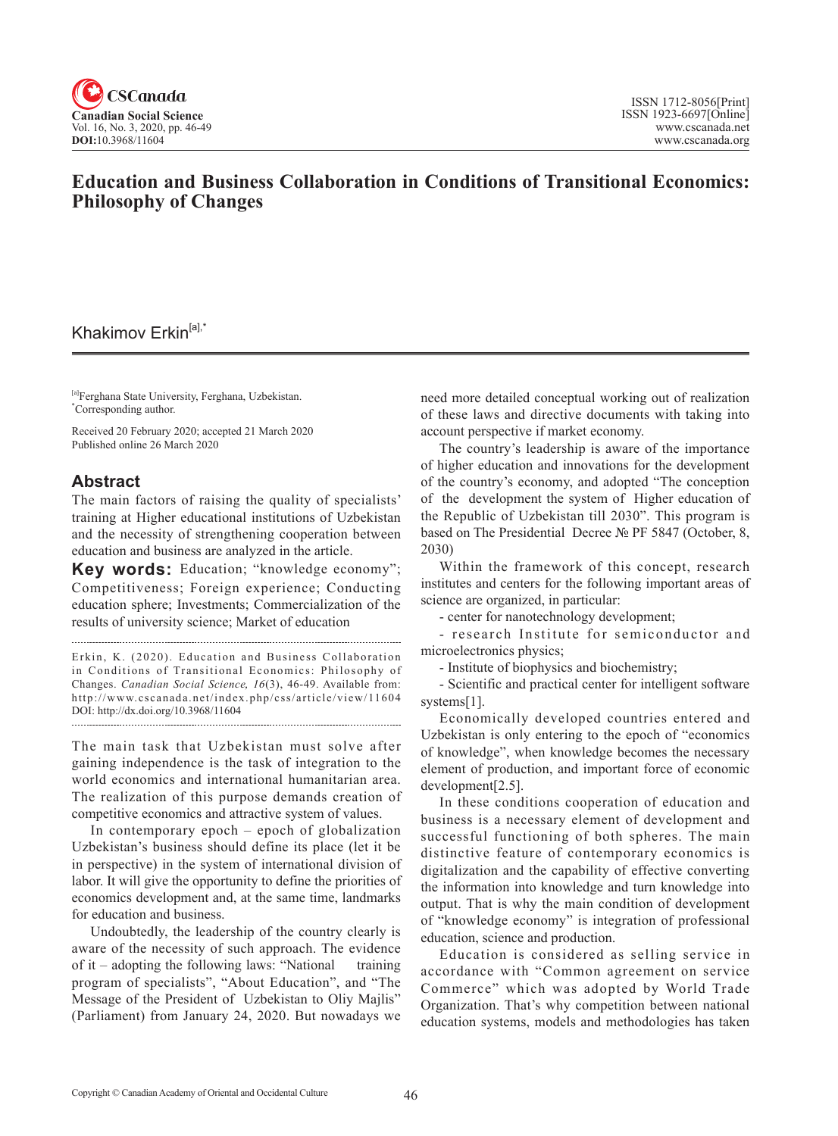

# **Education and Business Collaboration in Conditions of Transitional Economics: Philosophy of Changes**

## Khakimov Erkin<sup>[a],\*</sup>

[a]Ferghana State University, Ferghana, Uzbekistan. \* Corresponding author.

Received 20 February 2020; accepted 21 March 2020 Published online 26 March 2020

### **Abstract**

The main factors of raising the quality of specialists' training at Higher educational institutions of Uzbekistan and the necessity of strengthening cooperation between education and business are analyzed in the article.

**Key words:** Education; "knowledge economy"; Competitiveness; Foreign experience; Conducting education sphere; Investments; Commercialization of the results of university science; Market of education

Erkin, K. (2020). Education and Business Collaboration in Conditions of Transitional Economics: Philosophy of Changes. *Canadian Social Science*, 16(3), 46-49. Available from: http://www.cscanada.net/index.php/css/article/view/11604 DOI: http://dx.doi.org/10.3968/11604 

The main task that Uzbekistan must solve after gaining independence is the task of integration to the world economics and international humanitarian area. The realization of this purpose demands creation of competitive economics and attractive system of values.

In contemporary epoch – epoch of globalization Uzbekistan's business should define its place (let it be in perspective) in the system of international division of labor. It will give the opportunity to define the priorities of economics development and, at the same time, landmarks for education and business.

Undoubtedly, the leadership of the country clearly is aware of the necessity of such approach. The evidence of it – adopting the following laws: "National training program of specialists", "About Education", and "The Message of the President of Uzbekistan to Oliy Majlis" (Parliament) from January 24, 2020. But nowadays we need more detailed conceptual working out of realization of these laws and directive documents with taking into account perspective if market economy.

The country's leadership is aware of the importance of higher education and innovations for the development of the country's economy, and adopted "The conception of the development the system of Higher education of the Republic of Uzbekistan till 2030". This program is based on The Presidential Decree № PF 5847 (October, 8, 2030)

Within the framework of this concept, research institutes and centers for the following important areas of science are organized, in particular:

- center for nanotechnology development;

- research Institute for semiconductor and microelectronics physics;

- Institute of biophysics and biochemistry;

- Scientific and practical center for intelligent software systems[1].

Economically developed countries entered and Uzbekistan is only entering to the epoch of "economics of knowledge", when knowledge becomes the necessary element of production, and important force of economic development[2.5].

In these conditions cooperation of education and business is a necessary element of development and successful functioning of both spheres. The main distinctive feature of contemporary economics is digitalization and the capability of effective converting the information into knowledge and turn knowledge into output. That is why the main condition of development of "knowledge economy" is integration of professional education, science and production.

Education is considered as selling service in accordance with "Common agreement on service Commerce" which was adopted by World Trade Organization. That's why competition between national education systems, models and methodologies has taken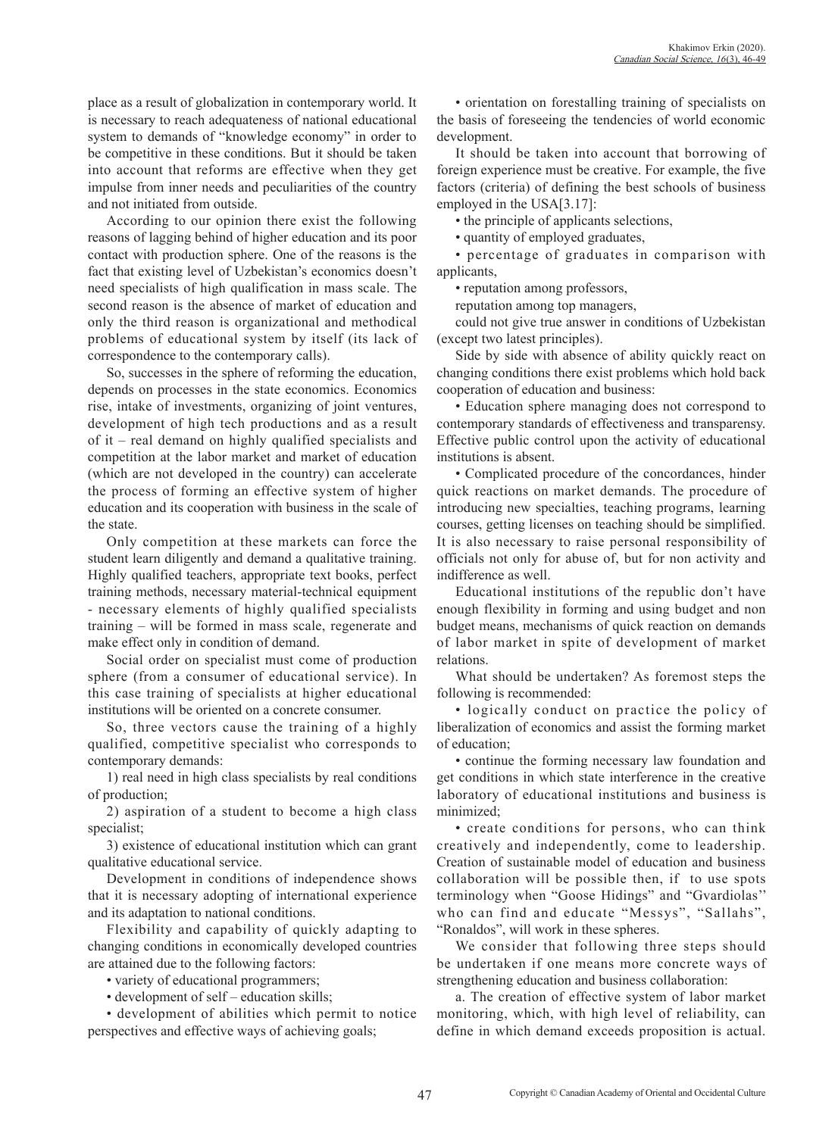place as a result of globalization in contemporary world. It is necessary to reach adequateness of national educational system to demands of "knowledge economy" in order to be competitive in these conditions. But it should be taken into account that reforms are effective when they get impulse from inner needs and peculiarities of the country and not initiated from outside.

According to our opinion there exist the following reasons of lagging behind of higher education and its poor contact with production sphere. One of the reasons is the fact that existing level of Uzbekistan's economics doesn't need specialists of high qualification in mass scale. The second reason is the absence of market of education and only the third reason is organizational and methodical problems of educational system by itself (its lack of correspondence to the contemporary calls).

So, successes in the sphere of reforming the education, depends on processes in the state economics. Economics rise, intake of investments, organizing of joint ventures, development of high tech productions and as a result of it – real demand on highly qualified specialists and competition at the labor market and market of education (which are not developed in the country) can accelerate the process of forming an effective system of higher education and its cooperation with business in the scale of the state.

Only competition at these markets can force the student learn diligently and demand a qualitative training. Highly qualified teachers, appropriate text books, perfect training methods, necessary material-technical equipment - necessary elements of highly qualified specialists training – will be formed in mass scale, regenerate and make effect only in condition of demand.

Social order on specialist must come of production sphere (from a consumer of educational service). In this case training of specialists at higher educational institutions will be oriented on a concrete consumer.

So, three vectors cause the training of a highly qualified, competitive specialist who corresponds to contemporary demands:

1) real need in high class specialists by real conditions of production;

2) aspiration of a student to become a high class specialist;

3) existence of educational institution which can grant qualitative educational service.

Development in conditions of independence shows that it is necessary adopting of international experience and its adaptation to national conditions.

Flexibility and capability of quickly adapting to changing conditions in economically developed countries are attained due to the following factors:

• variety of educational programmers;

• development of self – education skills;

• development of abilities which permit to notice perspectives and effective ways of achieving goals;

• orientation on forestalling training of specialists on the basis of foreseeing the tendencies of world economic development.

It should be taken into account that borrowing of foreign experience must be creative. For example, the five factors (criteria) of defining the best schools of business employed in the USA[3.17]:

• the principle of applicants selections,

• quantity of employed graduates,

• percentage of graduates in comparison with applicants,

• reputation among professors,

reputation among top managers,

could not give true answer in conditions of Uzbekistan (except two latest principles).

Side by side with absence of ability quickly react on changing conditions there exist problems which hold back cooperation of education and business:

• Education sphere managing does not correspond to contemporary standards of effectiveness and transparensy. Effective public control upon the activity of educational institutions is absent.

• Complicated procedure of the concordances, hinder quick reactions on market demands. The procedure of introducing new specialties, teaching programs, learning courses, getting licenses on teaching should be simplified. It is also necessary to raise personal responsibility of officials not only for abuse of, but for non activity and indifference as well.

Educational institutions of the republic don't have enough flexibility in forming and using budget and non budget means, mechanisms of quick reaction on demands of labor market in spite of development of market relations.

What should be undertaken? As foremost steps the following is recommended:

• logically conduct on practice the policy of liberalization of economics and assist the forming market of education;

• continue the forming necessary law foundation and get conditions in which state interference in the creative laboratory of educational institutions and business is minimized;

• create conditions for persons, who can think creatively and independently, come to leadership. Creation of sustainable model of education and business collaboration will be possible then, if to use spots terminology when "Goose Hidings" and "Gvardiolas'' who can find and educate "Messys", "Sallahs", "Ronaldos", will work in these spheres.

We consider that following three steps should be undertaken if one means more concrete ways of strengthening education and business collaboration:

a. The creation of effective system of labor market monitoring, which, with high level of reliability, can define in which demand exceeds proposition is actual.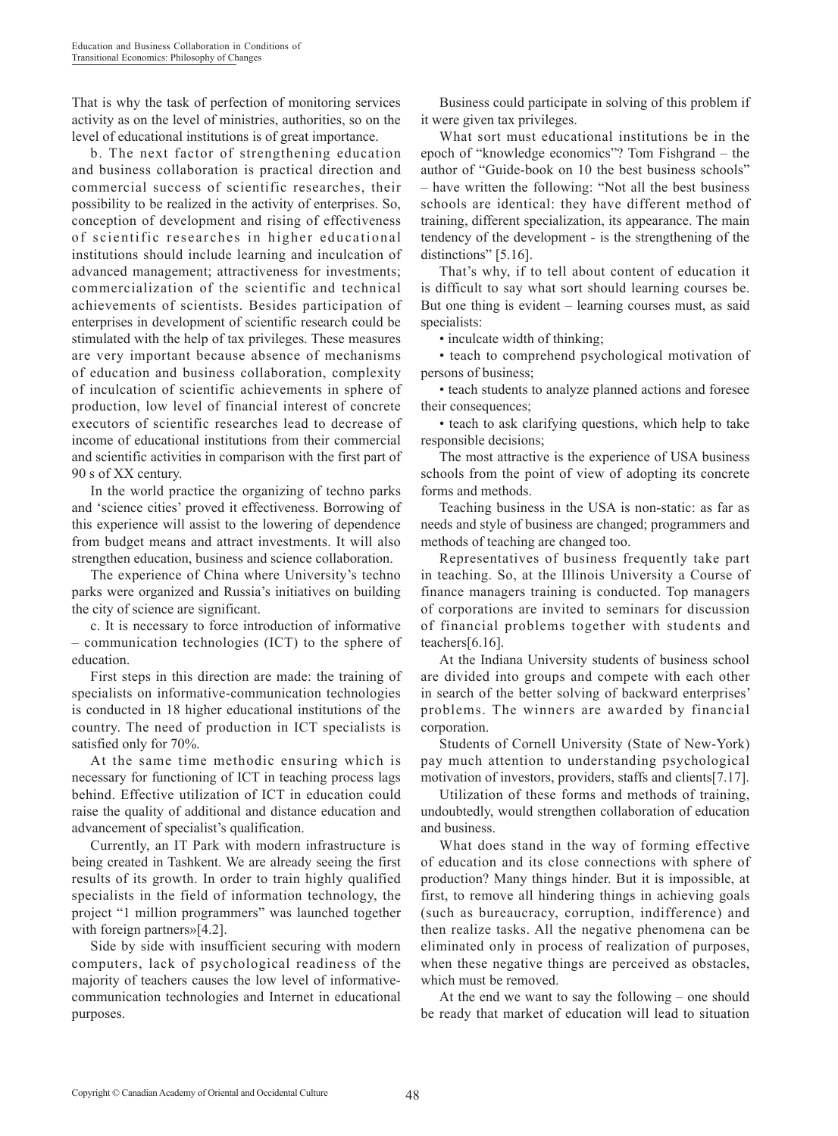That is why the task of perfection of monitoring services activity as on the level of ministries, authorities, so on the level of educational institutions is of great importance.

b. The next factor of strengthening education and business collaboration is practical direction and commercial success of scientific researches, their possibility to be realized in the activity of enterprises. So, conception of development and rising of effectiveness of scientific researches in higher educational institutions should include learning and inculcation of advanced management; attractiveness for investments; commercialization of the scientific and technical achievements of scientists. Besides participation of enterprises in development of scientific research could be stimulated with the help of tax privileges. These measures are very important because absence of mechanisms of education and business collaboration, complexity of inculcation of scientific achievements in sphere of production, low level of financial interest of concrete executors of scientific researches lead to decrease of income of educational institutions from their commercial and scientific activities in comparison with the first part of 90 s of XX century.

In the world practice the organizing of techno parks and 'science cities' proved it effectiveness. Borrowing of this experience will assist to the lowering of dependence from budget means and attract investments. It will also strengthen education, business and science collaboration.

The experience of China where University's techno parks were organized and Russia's initiatives on building the city of science are significant.

c. It is necessary to force introduction of informative – communication technologies (ICT) to the sphere of education.

First steps in this direction are made: the training of specialists on informative-communication technologies is conducted in 18 higher educational institutions of the country. The need of production in ICT specialists is satisfied only for 70%.

At the same time methodic ensuring which is necessary for functioning of ICT in teaching process lags behind. Effective utilization of ICT in education could raise the quality of additional and distance education and advancement of specialist's qualification.

Currently, an IT Park with modern infrastructure is being created in Tashkent. We are already seeing the first results of its growth. In order to train highly qualified specialists in the field of information technology, the project "1 million programmers" was launched together with foreign partners»[4.2].

Side by side with insufficient securing with modern computers, lack of psychological readiness of the majority of teachers causes the low level of informativecommunication technologies and Internet in educational purposes.

Business could participate in solving of this problem if it were given tax privileges.

What sort must educational institutions be in the epoch of "knowledge economics"? Tom Fishgrand – the author of "Guide-book on 10 the best business schools" – have written the following: "Not all the best business schools are identical: they have different method of training, different specialization, its appearance. The main tendency of the development - is the strengthening of the distinctions" [5.16].

That's why, if to tell about content of education it is difficult to say what sort should learning courses be. But one thing is evident – learning courses must, as said specialists:

• inculcate width of thinking;

• teach to comprehend psychological motivation of persons of business;

• teach students to analyze planned actions and foresee their consequences;

• teach to ask clarifying questions, which help to take responsible decisions;

The most attractive is the experience of USA business schools from the point of view of adopting its concrete forms and methods.

Teaching business in the USA is non-static: as far as needs and style of business are changed; programmers and methods of teaching are changed too.

Representatives of business frequently take part in teaching. So, at the Illinois University a Course of finance managers training is conducted. Top managers of corporations are invited to seminars for discussion of financial problems together with students and teachers[6.16].

At the Indiana University students of business school are divided into groups and compete with each other in search of the better solving of backward enterprises' problems. The winners are awarded by financial corporation.

Students of Cornell University (State of New-York) pay much attention to understanding psychological motivation of investors, providers, staffs and clients[7.17].

Utilization of these forms and methods of training, undoubtedly, would strengthen collaboration of education and business.

What does stand in the way of forming effective of education and its close connections with sphere of production? Many things hinder. But it is impossible, at first, to remove all hindering things in achieving goals (such as bureaucracy, corruption, indifference) and then realize tasks. All the negative phenomena can be eliminated only in process of realization of purposes, when these negative things are perceived as obstacles, which must be removed.

At the end we want to say the following – one should be ready that market of education will lead to situation